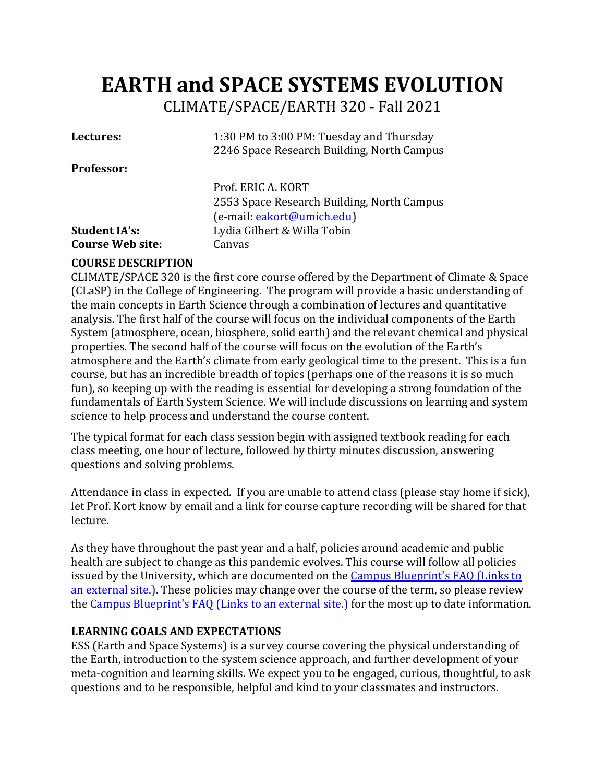# **EARTH and SPACE SYSTEMS EVOLUTION** CLIMATE/SPACE/EARTH 320 - Fall 2021

| Lectures:               | 1:30 PM to 3:00 PM: Tuesday and Thursday<br>2246 Space Research Building, North Campus |
|-------------------------|----------------------------------------------------------------------------------------|
| <b>Professor:</b>       |                                                                                        |
|                         | Prof. ERIC A. KORT                                                                     |
|                         | 2553 Space Research Building, North Campus                                             |
|                         | (e-mail: eakort@umich.edu)                                                             |
| <b>Student IA's:</b>    | Lydia Gilbert & Willa Tobin                                                            |
| <b>Course Web site:</b> | Canvas                                                                                 |

#### **COURSE DESCRIPTION**

CLIMATE/SPACE 320 is the first core course offered by the Department of Climate & Space (CLaSP) in the College of Engineering. The program will provide a basic understanding of the main concepts in Earth Science through a combination of lectures and quantitative analysis. The first half of the course will focus on the individual components of the Earth System (atmosphere, ocean, biosphere, solid earth) and the relevant chemical and physical properties. The second half of the course will focus on the evolution of the Earth's atmosphere and the Earth's climate from early geological time to the present. This is a fun course, but has an incredible breadth of topics (perhaps one of the reasons it is so much fun), so keeping up with the reading is essential for developing a strong foundation of the fundamentals of Earth System Science. We will include discussions on learning and system science to help process and understand the course content.

The typical format for each class session begin with assigned textbook reading for each class meeting, one hour of lecture, followed by thirty minutes discussion, answering questions and solving problems.

Attendance in class in expected. If you are unable to attend class (please stay home if sick), let Prof. Kort know by email and a link for course capture recording will be shared for that lecture.

As they have throughout the past year and a half, policies around academic and public health are subject to change as this pandemic evolves. This course will follow all policies issued by the University, which are documented on the Campus Blueprint's FAQ (Links to an external site.]. These policies may change over the course of the term, so please review the Campus Blueprint's FAQ (Links to an external site.) for the most up to date information.

## **LEARNING GOALS AND EXPECTATIONS**

ESS (Earth and Space Systems) is a survey course covering the physical understanding of the Earth, introduction to the system science approach, and further development of your meta-cognition and learning skills. We expect you to be engaged, curious, thoughtful, to ask questions and to be responsible, helpful and kind to your classmates and instructors.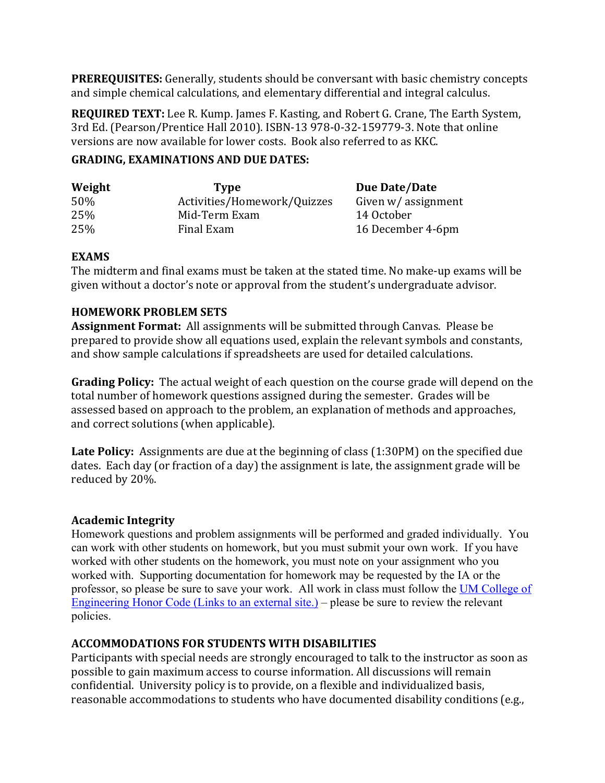**PREREQUISITES:** Generally, students should be conversant with basic chemistry concepts and simple chemical calculations, and elementary differential and integral calculus.

**REQUIRED TEXT:** Lee R. Kump. James F. Kasting, and Robert G. Crane, The Earth System, 3rd Ed. (Pearson/Prentice Hall 2010). ISBN-13 978-0-32-159779-3. Note that online versions are now available for lower costs. Book also referred to as KKC.

#### **GRADING, EXAMINATIONS AND DUE DATES:**

| Weight | <b>Type</b>                 | Due Date/Date       |
|--------|-----------------------------|---------------------|
| 50%    | Activities/Homework/Quizzes | Given w/ assignment |
| 25%    | Mid-Term Exam               | 14 October          |
| 25%    | Final Exam                  | 16 December 4-6pm   |

## **EXAMS**

The midterm and final exams must be taken at the stated time. No make-up exams will be given without a doctor's note or approval from the student's undergraduate advisor.

## **HOMEWORK PROBLEM SETS**

Assignment Format: All assignments will be submitted through Canvas. Please be prepared to provide show all equations used, explain the relevant symbols and constants, and show sample calculations if spreadsheets are used for detailed calculations.

**Grading Policy:** The actual weight of each question on the course grade will depend on the total number of homework questions assigned during the semester. Grades will be assessed based on approach to the problem, an explanation of methods and approaches, and correct solutions (when applicable).

**Late Policy:** Assignments are due at the beginning of class (1:30PM) on the specified due dates. Each day (or fraction of a day) the assignment is late, the assignment grade will be reduced by 20%.

## **Academic Integrity**

Homework questions and problem assignments will be performed and graded individually. You can work with other students on homework, but you must submit your own work. If you have worked with other students on the homework, you must note on your assignment who you worked with. Supporting documentation for homework may be requested by the IA or the professor, so please be sure to save your work. All work in class must follow the UM College of Engineering Honor Code (Links to an external site.) – please be sure to review the relevant policies.

## **ACCOMMODATIONS FOR STUDENTS WITH DISABILITIES**

Participants with special needs are strongly encouraged to talk to the instructor as soon as possible to gain maximum access to course information. All discussions will remain confidential. University policy is to provide, on a flexible and individualized basis, reasonable accommodations to students who have documented disability conditions (e.g.,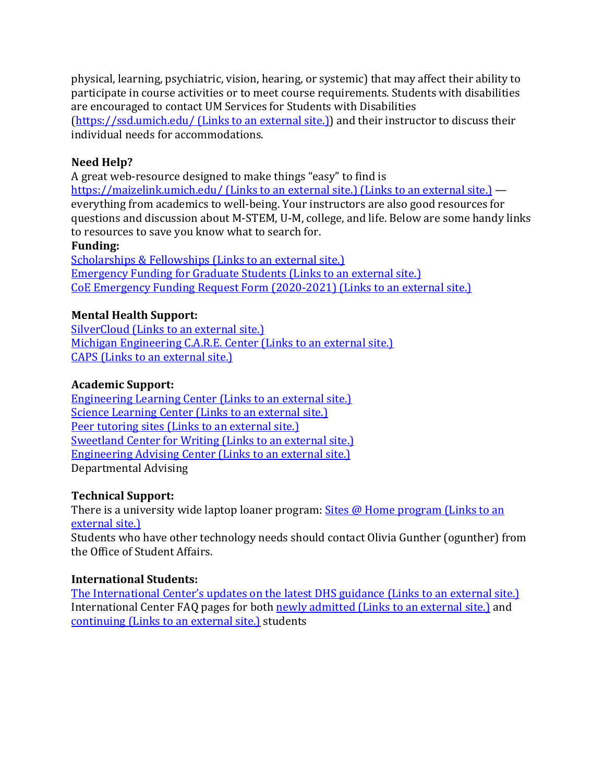physical, learning, psychiatric, vision, hearing, or systemic) that may affect their ability to participate in course activities or to meet course requirements. Students with disabilities are encouraged to contact UM Services for Students with Disabilities (https://ssd.umich.edu/ (Links to an external site.)) and their instructor to discuss their individual needs for accommodations.

## **Need Help?**

A great web-resource designed to make things "easy" to find is https://maizelink.umich.edu/ (Links to an external site.) (Links to an external site.)  $$ everything from academics to well-being. Your instructors are also good resources for questions and discussion about M-STEM, U-M, college, and life. Below are some handy links to resources to save you know what to search for.

#### **Funding:**

Scholarships & Fellowships (Links to an external site.) Emergency Funding for Graduate Students (Links to an external site.) CoE Emergency Funding Request Form (2020-2021) (Links to an external site.)

## **Mental Health Support:**

SilverCloud (Links to an external site.) Michigan Engineering C.A.R.E. Center (Links to an external site.) CAPS (Links to an external site.)

## **Academic Support:**

Engineering Learning Center (Links to an external site.) Science Learning Center (Links to an external site.) Peer tutoring sites (Links to an external site.) Sweetland Center for Writing (Links to an external site.) Engineering Advising Center (Links to an external site.) Departmental Advising 

## **Technical Support:**

There is a university wide laptop loaner program:  $\frac{\text{Sites}}{\omega}$  Home program (Links to an external site.)

Students who have other technology needs should contact Olivia Gunther (ogunther) from the Office of Student Affairs.

## **International Students:**

The International Center's updates on the latest DHS guidance (Links to an external site.) International Center FAQ pages for both newly admitted (Links to an external site.) and continuing (Links to an external site.) students